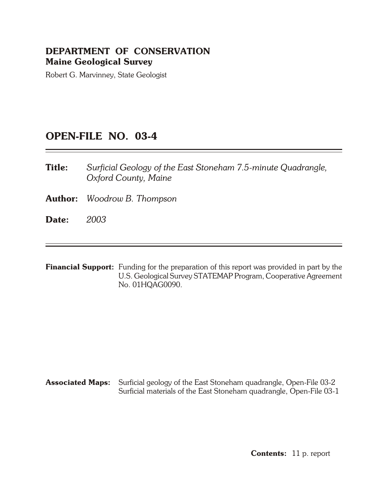## **DEPARTMENT OF CONSERVATION Maine Geological Survey**

Robert G. Marvinney, State Geologist

## **OPEN- FILE NO. 03-4**

- **Title:** *Surficial Geology of the East Stoneham 7.5-minute Quadrangle, Ox ford County, Maine*
- **Author:** *Woodrow B. Thompson*
- **Date:** *2003*
- **Financial Support:** Funding for the preparation of this report was provided in part by the U.S. Geological Survey STATEMAP Program, Cooperative Agreement No. 01HQAG0090.

**Associated Maps:** Surficial geology of the East Stoneham quadrangle, Open-File 03-2 Surficial materials of the East Stoneham quadrangle, Open-File 03-1

**Contents:** 11 p. report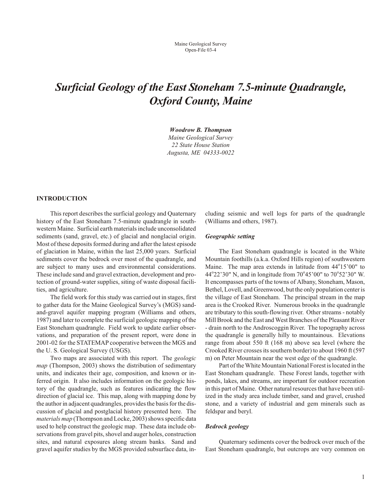# *Surficial Geology of the East Stoneham 7.5-minute Quadrangle, Ox ford County, Maine*

*Woodrow B. Thomp son Maine Geo logi cal Sur vey 22 State House Sta tion Augusta, ME 04333- 0022*

## **INTRODUCTION**

This report describes the surficial geology and Quaternary history of the East Stoneham 7.5-minute quadrangle in southwestern Maine. Surficial earth materials include unconsolidated sediments (sand, gravel, etc.) of glacial and nonglacial origin. Most of these deposits formed during and after the latest episode of glaciation in Maine, within the last 25,000 years. Surficial sediments cover the bedrock over most of the quadrangle, and are subject to many uses and environmental considerations. These include sand and gravel extraction, development and protection of ground-water supplies, siting of waste disposal facilities, and agriculture.

The field work for this study was carried out in stages, first to gather data for the Maine Geological Survey's (MGS) sandand-gravel aquifer mapping program (Williams and others, 1987) and later to complete the surficial geologic mapping of the East Stoneham quadrangle. Field work to update earlier observations, and preparation of the present report, were done in 2001-02 for the STATEMAP cooperative between the MGS and the U.S. Geological Survey (USGS).

Two maps are associated with this report. The *geologic map* (Thompson, 2003) shows the distribution of sedimentary units, and indicates their age, composition, and known or inferred origin. It also includes information on the geologic history of the quadrangle, such as features indicating the flow direction of glacial ice. This map, along with mapping done by the author in adjacent quadrangles, provides the basis for the discussion of glacial and postglacial history presented here. The *materials map* (Thompson and Locke, 2003) shows specific data used to help construct the geologic map. These data include observations from gravel pits, shovel and auger holes, construction sites, and natural exposures along stream banks. Sand and gravel aquifer studies by the MGS provided subsurface data, including seismic and well logs for parts of the quadrangle (Williams and others, 1987).

#### **Geographic setting**

The East Stoneham quadrangle is located in the White Mountain foothills (a.k.a. Oxford Hills region) of southwestern Maine. The map area extends in latitude from 44°15'00" to 44°22'30" N, and in longitude from 70°45'00" to 70°52'30" W. It encompasses parts of the towns of Albany, Stoneham, Mason, Bethel, Lovell, and Greenwood, but the only population center is the village of East Stoneham. The principal stream in the map area is the Crooked River. Numerous brooks in the quadrangle are tributary to this south-flowing river. Other streams - notably Mill Brook and the East and West Branches of the Pleasant River - drain north to the Androscoggin River. The topography across the quadrangle is generally hilly to mountain ous. Elevations range from about 550 ft (168 m) above sea level (where the Crooked River crosses its southern border) to about 1960 ft (597 m) on Peter Mountain near the west edge of the quadrangle.

Part of the White Mountain National Forest is located in the East Stoneham quadrangle. These Forest lands, together with ponds, lakes, and streams, are important for outdoor recreation in this part of Maine. Other natural resources that have been utilized in the study area include timber, sand and gravel, crushed stone, and a variety of industrial and gem minerals such as feldspar and beryl.

#### *Bed rock ge ol ogy*

Quaternary sediments cover the bedrock over much of the East Stoneham quadrangle, but outcrops are very common on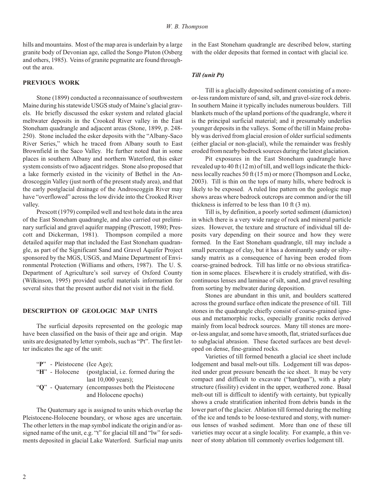hills and mountains. Most of the map area is underlain by a large granite body of Devonian age, called the Songo Pluton (Osberg and others, 1985). Veins of granite pegmatite are found throughout the area.

## **PREVIOUS WORK**

Stone (1899) conducted a reconnaissance of southwestern Maine during his statewide USGS study of Maine's glacial gravels. He briefly discussed the esker system and related glacial meltwater deposits in the Crooked River valley in the East Stoneham quadrangle and adjacent areas (Stone, 1899, p. 248-250). Stone included the esker deposits with the "Albany-Saco River Series," which he traced from Albany south to East Brownfield in the Saco Valley. He further noted that in some places in southern Albany and northern Waterford, this esker system consists of two adjacent ridges. Stone also proposed that a lake formerly existed in the vicinity of Bethel in the Androscoggin Valley (just north of the present study area), and that the early postglacial drainage of the Androscoggin River may have "overflowed" across the low divide into the Crooked River valley.

Prescott (1979) compiled well and test hole data in the area of the East Stoneham quadrangle, and also carried out preliminary surficial and gravel aquifer mapping (Prescott, 1980; Prescott and Dickerman, 1981). Thompson compiled a more detailed aquifer map that included the East Stoneham quadrangle, as part of the Significant Sand and Gravel Aquifer Project sponsored by the MGS, USGS, and Maine Department of Environmental Protection (Williams and others, 1987). The U.S. Department of Agriculture's soil survey of Oxford County (Wilkinson, 1995) provided useful materials information for several sites that the present author did not visit in the field.

#### **DESCRIPTION OF GEOLOGIC MAP UNITS**

The surficial deposits represented on the geologic map have been classified on the basis of their age and origin. Map units are designated by letter symbols, such as "Pt". The first letter indicates the age of the unit:

| "P" - Pleistocene (Ice Age); |                                                     |
|------------------------------|-----------------------------------------------------|
|                              | "H" - Holocene (postglacial, i.e. formed during the |
|                              | last $10,000$ years);                               |
|                              | "Q" - Quaternary (encompasses both the Pleistocene  |
|                              | and Holocene epochs)                                |

The Quaternary age is assigned to units which overlap the Pleistocene-Holocene boundary, or whose ages are uncertain. The other letters in the map symbol indicate the origin and/or assigned name of the unit, e.g. "t" for glacial till and "lw" for sediments deposited in glacial Lake Waterford. Surficial map units

in the East Stoneham quadrangle are described below, starting with the older deposits that formed in contact with glacial ice.

## *Till (unit Pt)*

Till is a glacially deposited sediment consisting of a moreor-less random mixture of sand, silt, and gravel-size rock debris. In southern Maine it typically includes numerous boulders. Till blankets much of the upland portions of the quadrangle, where it is the principal surficial material; and it presumably underlies younger deposits in the valleys. Some of the till in Maine probably was derived from glacial erosion of older surficial sediments (either glacial or non-glacial), while the remainder was freshly eroded from nearby bedrock sources during the latest glaciation.

Pit exposures in the East Stoneham quadrangle have revealed up to 40 ft (12 m) of till, and well logs indicate the thick ness locally reaches 50 ft (15 m) or more (Thompson and Locke, 2003). Till is thin on the tops of many hills, where bedrock is likely to be exposed. A ruled line pattern on the geologic map shows areas where bedrock outcrops are common and/or the till thick ness is in ferred to be less than 10 ft (3 m).

Till is, by definition, a poorly sorted sediment (diamicton) in which there is a very wide range of rock and mineral particle sizes. However, the texture and structure of individual till deposits vary depending on their source and how they were formed. In the East Stoneham quadrangle, till may include a small percentage of clay, but it has a dominantly sandy or siltysandy matrix as a consequence of having been eroded from coarse-grained bedrock. Till has little or no obvious stratification in some places. Elsewhere it is crudely stratified, with discontinuous lenses and laminae of silt, sand, and gravel resulting from sorting by meltwater during deposition.

Stones are abundant in this unit, and boulders scattered across the ground surface often indicate the presence of till. Till stones in the quadrangle chiefly consist of coarse-grained igneous and metamorphic rocks, especially granitic rocks derived mainly from local bedrock sources. Many till stones are moreor-less angular, and some have smooth, flat, striated surfaces due to subglacial abrasion. These faceted surfaces are best developed on dense, fine- grained rocks.

Varieties of till formed beneath a glacial ice sheet include lodgement and basal melt-out tills. Lodgement till was deposited under great pressure beneath the ice sheet. It may be very compact and difficult to excavate ("hardpan"), with a platy structure (fissility) evident in the upper, weathered zone. Basal melt-out till is difficult to identify with certainty, but typically shows a crude stratification inherited from debris bands in the lower part of the glacier. Ablation till formed during the melting of the ice and tends to be loose-textured and stony, with numerous lenses of washed sediment. More than one of these till varieties may occur at a single locality. For example, a thin veneer of stony ablation till commonly overlies lodgement till.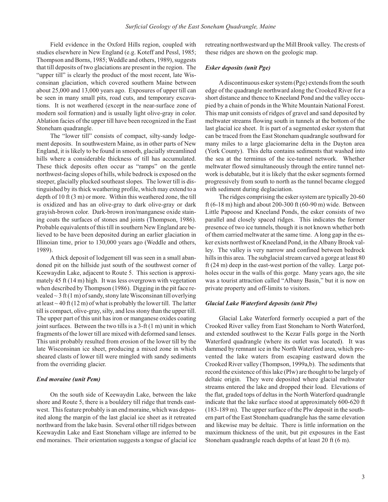Field evidence in the Oxford Hills region, coupled with studies elsewhere in New England (e.g. Koteff and Pessl, 1985; Thompson and Borns, 1985; Weddle and others, 1989), suggests that till deposits of two glaciations are present in the region. The "upper till" is clearly the product of the most recent, late Wisconsinan glaciation, which covered southern Maine between about  $25,000$  and  $13,000$  years ago. Exposures of upper till can be seen in many small pits, road cuts, and temporary excavations. It is not weathered (except in the near-surface zone of modern soil formation) and is usually light olive-gray in color. Ab lation facies of the upper till have been recognized in the East Stoneham quadrangle.

The "lower till" consists of compact, silty-sandy lodgement deposits. In southwestern Maine, as in other parts of New England, it is likely to be found in smooth, glacially streamlined hills where a considerable thickness of till has accumulated. These thick deposits often occur as "ramps" on the gentle northwest-facing slopes of hills, while bedrock is exposed on the steeper, glacially plucked southeast slopes. The lower till is distinguished by its thick weathering profile, which may extend to a depth of  $10$  ft  $(3 \text{ m})$  or more. Within this weathered zone, the till is oxidized and has an olive-gray to dark olive-gray or dark grayish-brown color. Dark-brown iron/manganese oxide staining coats the surfaces of stones and joints (Thompson, 1986). Probable equivalents of this till in southern New England are believed to be have been deposited during an earlier glaciation in Illinoian time, prior to 130,000 years ago (Weddle and others, 1989).

A thick deposit of lodgement till was seen in a small abandoned pit on the hillside just south of the southwest corner of Keewaydin Lake, adjacent to Route 5. This section is approximately 45 ft  $(14 \text{ m})$  high. It was less overgrown with vegetation when described by Thompson (1986). Digging in the pit face revealed  $\sim$  3 ft (1 m) of sandy, stony late Wisconsinan till overlying at least  $\sim$  40 ft (12 m) of what is probably the lower till. The latter till is compact, olive-gray, silty, and less stony than the upper till. The upper part of this unit has iron or manganese oxides coating joint surfaces. Between the two tills is a  $3-ft(1 \text{ m})$  unit in which fragments of the lower till are mixed with deformed sand lenses. This unit probably resulted from erosion of the lower till by the late Wisconsinan ice sheet, producing a mixed zone in which sheared clasts of lower till were mingled with sandy sediments from the overriding glacier.

#### *End mo raine (unit Pem)*

On the south side of Keewaydin Lake, between the lake shore and Route 5, there is a bouldery till ridge that trends eastwest. This feature probably is an end moraine, which was deposited along the margin of the last glacial ice sheet as it retreated northward from the lake basin. Several other till ridges between Keewaydin Lake and East Stoneham village are inferred to be end moraines. Their orientation suggests a tongue of glacial ice

retreating northwestward up the Mill Brook valley. The crests of these ridges are shown on the geologic map.

#### *Es ker de pos its (unit Pge)*

A discontinuous esker system (Pge) extends from the south edge of the quadrangle northward along the Crooked River for a short distance and thence to Kneeland Pond and the valley occupied by a chain of ponds in the White Mountain National Forest. This map unit consists of ridges of gravel and sand deposited by meltwater streams flowing south in tunnels at the bottom of the last glacial ice sheet. It is part of a segmented esker system that can be traced from the East Stoneham quadrangle southward for many miles to a large glaciomarine delta in the Dayton area (York County). This delta contains sediments that washed into the sea at the terminus of the ice-tunnel network. Whether meltwater flowed simultaneously through the entire tunnel network is debatable, but it is likely that the esker segments formed progressively from south to north as the tunnel became clogged with sediment during deglaciation.

The ridges comprising the esker system are typically 20-60 ft (6-18 m) high and about 200-300 ft (60-90 m) wide. Between Little Papoose and Kneeland Ponds, the esker consists of two parallel and closely spaced ridges. This indicates the former presence of two ice tunnels, though it is not known whether both of them carried meltwater at the same time. A long gap in the esker exists northwest of Kneeland Pond, in the Albany Brook valley. The valley is very narrow and confined between bedrock hills in this area. The subglacial stream carved a gorge at least 80 ft  $(24 \text{ m})$  deep in the east-west portion of the valley. Large potholes occur in the walls of this gorge. Many years ago, the site was a tourist attraction called "Albany Basin," but it is now on private property and off-limits to visitors.

#### *Gla cial Lake Wa ter ford de pos its (unit Plw)*

Glacial Lake Waterford formerly occupied a part of the Crooked River valley from East Stoneham to North Waterford, and extended southwest to the Kezar Falls gorge in the North Waterford quadrangle (where its outlet was located). It was dammed by remnant ice in the North Waterford area, which prevented the lake waters from escaping eastward down the Crooked River valley (Thompson, 1999a,b). The sediments that record the existence of this lake (Plw) are thought to be largely of deltaic origin. They were deposited where glacial meltwater streams entered the lake and dropped their load. Elevations of the flat, graded tops of deltas in the North Waterford quadrangle indicate that the lake surface stood at approximately 600-620 ft  $(183-189 \text{ m})$ . The upper surface of the Plw deposit in the southern part of the East Stoneham quadrangle has the same elevation and likewise may be deltaic. There is little information on the maximum thickness of the unit, but pit exposures in the East Stone ham quad rangle reach depths of at least  $20 \text{ ft} (6 \text{ m})$ .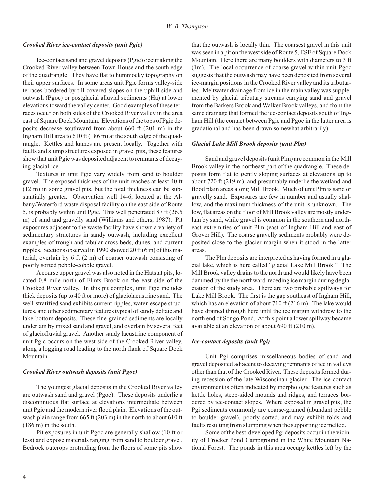#### *Crooked River ice-contact de pos its (unit Pgic)*

Ice-contact sand and gravel deposits (Pgic) occur along the Crooked River valley between Town House and the south edge of the quadrangle. They have flat to hummocky to pography on their upper surfaces. In some areas unit Pgic forms valley-side terraces bordered by till-covered slopes on the uphill side and outwash (Pgoc) or postglacial alluvial sediments (Ha) at lower elevations toward the valley center. Good examples of these terraces occur on both sides of the Crooked River valley in the area east of Square Dock Mountain. Elevations of the tops of Pgic deposits decrease southward from about 660 ft (201 m) in the Ingham Hill area to 610 ft (186 m) at the south edge of the quad rangle. Kettles and kames are present locally. Together with faults and slump structures exposed in gravel pits, these features show that unit Pgic was deposited adjacent to remnants of decaying glacial ice.

Textures in unit Pgic vary widely from sand to boulder gravel. The exposed thickness of the unit reaches at least 40 ft  $(12 \text{ m})$  in some gravel pits, but the total thickness can be substantially greater. Observation well 14-6, located at the Albany/Waterford waste disposal facility on the east side of Route 5, is probably within unit Pgic. This well penetrated 87 ft (26.5) m) of sand and gravelly sand (Williams and others, 1987). Pit exposures adjacent to the waste facility have shown a variety of sedimentary structures in sandy outwash, including excellent examples of trough and tabular cross-beds, dunes, and current ripples. Sections observed in 1990 showed 20 ft (6 m) of this material, overlain by 6 ft  $(2 \text{ m})$  of coarser outwash consisting of poorly sorted pebble-cobble gravel.

A coarse upper gravel was also noted in the Hatstat pits, located 0.8 mile north of Flints Brook on the east side of the Crooked River valley. In this pit complex, unit Pgic includes thick deposits (up to 40 ft or more) of glaciolacustrine sand. The well-stratified sand exhibits current ripples, water-escape structures, and other sedimentary features typical of sandy deltaic and lake-bottom deposits. These fine-grained sediments are locally underlain by mixed sand and gravel, and overlain by several feet of glaciofluvial gravel. Another sandy lacustrine component of unit Pgic occurs on the west side of the Crooked River valley, along a logging road leading to the north flank of Square Dock Mountain.

#### *Crooked River out wash de pos its (unit Pgoc)*

The youngest glacial deposits in the Crooked River valley are outwash sand and gravel (Pgoc). These deposits underlie a discontinuous flat surface at elevations intermediate between unit Pgic and the modern river flood plain. Elevations of the outwash plain range from 665 ft (203 m) in the north to about 610 ft (186 m) in the south.

Pit exposures in unit Pgoc are generally shallow (10 ft or less) and expose materials ranging from sand to boulder gravel. Bedrock outcrops protruding from the floors of some pits show

that the outwash is locally thin. The coarsest gravel in this unit was seen in a pit on the west side of Route 5, ESE of Square Dock Mountain. Here there are many boulders with diameters to 3 ft  $(1m)$ . The local occurrence of coarse gravel within unit Pgoc suggests that the outwash may have been deposited from several ice-margin positions in the Crooked River valley and its tributaries. Meltwater drainage from ice in the main valley was supplemented by glacial tributary streams carrying sand and gravel from the Barkers Brook and Walker Brook valleys, and from the same drainage that formed the ice-contact deposits south of Ingham Hill (the contact between Pgic and Pgoc in the latter area is gradational and has been drawn somewhat arbitrarily).

#### *Glacial Lake Mill Brook de pos its (unit Plm)*

Sand and gravel deposits (unit Plm) are common in the Mill Brook valley in the northeast part of the quadrangle. These deposits form flat to gently sloping surfaces at elevations up to about 720 ft (219 m), and presumably underlie the wetland and flood plain areas along Mill Brook. Much of unit Plm is sand or gravelly sand. Exposures are few in number and usually shallow, and the maximum thickness of the unit is unknown. The low, flat areas on the floor of Mill Brook valley are mostly underlain by sand, while gravel is common in the southern and northeast extremities of unit Plm (east of Ingham Hill and east of Grover Hill). The coarse gravelly sediments probably were deposited close to the glacier margin when it stood in the latter areas.

The Plm deposits are interpreted as having formed in a glacial lake, which is here called "glacial Lake Mill Brook." The Mill Brook valley drains to the north and would likely have been dammed by the the northward-receding ice margin during deglaciation of the study area. There are two probable spillways for Lake Mill Brook. The first is the gap southeast of Ingham Hill, which has an elevation of about 710 ft (216 m). The lake would have drained through here until the ice margin with drew to the north end of Songo Pond. At this point a lower spillway be came available at an elevation of about 690 ft (210 m).

#### *Ice- contact de pos its (unit Pgi)*

Unit Pgi comprises miscellaneous bodies of sand and gravel deposited adjacent to decaying remnants of ice in valleys other than that of the Crooked River. These deposits formed during recession of the late Wisconsinan glacier. The ice-contact environment is often indicated by morphologic features such as kettle holes, steep-sided mounds and ridges, and terraces bordered by ice-contact slopes. Where exposed in gravel pits, the Pgi sediments commonly are coarse-grained (abundant pebble to boulder gravel), poorly sorted, and may exhibit folds and faults resulting from slumping when the supporting ice melted.

Some of the best-developed Pgi deposits occur in the vicinity of Crocker Pond Campground in the White Mountain National Forest. The ponds in this area occupy kettles left by the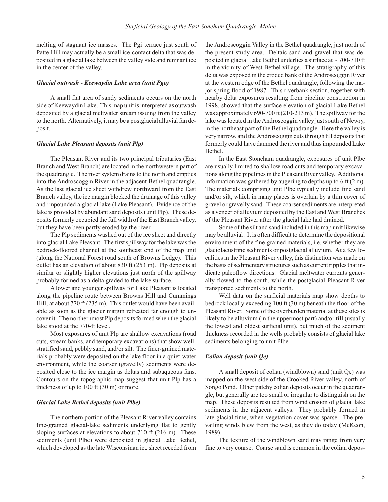melting of stagnant ice masses. The Pgi terrace just south of Patte Hill may actually be a small ice-contact delta that was deposited in a glacial lake between the valley side and remnant ice in the center of the valley.

#### *Gla cial out wash - Kee way din Lake area (unit Pgo)*

A small flat area of sandy sediments occurs on the north side of Keewaydin Lake. This map unit is interpreted as outwash deposited by a glacial meltwater stream issuing from the valley to the north. Alternatively, it may be a postglacial alluvial fan deposit.

#### *Glacial Lake Pleas ant de pos its (unit Plp)*

The Pleasant River and its two principal tributaries (East Branch and West Branch) are located in the northwestern part of the quadrangle. The river system drains to the north and empties into the Androscoggin River in the adjacent Bethel quadrangle. As the last glacial ice sheet with drew northward from the East Branch valley, the ice margin blocked the drainage of this valley and impounded a glacial lake (Lake Pleasant). Evidence of the lake is provided by abundant sand deposits (unit Plp). These deposits formerly occupied the full width of the East Branch valley, but they have been partly eroded by the river.

The Plp sediments washed out of the ice sheet and directly into gla cial Lake Pleasant. The first spill way for the lake was the bedrock-floored channel at the southeast end of the map unit (along the National Forest road south of Browns Ledge). This out let has an elevation of about 830 ft (253 m). Plp deposits at similar or slightly higher elevations just north of the spillway probably formed as a delta graded to the lake surface.

A lower and younger spillway for Lake Pleasant is located along the pipeline route between Browns Hill and Cummings Hill, at about 770 ft (235 m). This outlet would have been available as soon as the glacier margin retreated far enough to uncover it. The northern most Plp deposits formed when the glacial lake stood at the 770-ft level.

Most exposures of unit Plp are shallow excavations (road cuts, stream banks, and temporary excavations) that show wellstratified sand, pebbly sand, and/or silt. The finer-grained materials probably were deposited on the lake floor in a quiet-water environment, while the coarser (gravelly) sediments were deposited close to the ice margin as deltas and subaque ous fans. Contours on the topographic map suggest that unit Plp has a thickness of up to  $100$  ft  $(30 \text{ m})$  or more.

#### *Glacial Lake Be thel de pos its (unit Plbe)*

The northern portion of the Pleasant River valley contains fine-grained glacial-lake sediments underlying flat to gently sloping surfaces at elevations to about 710 ft  $(216 \text{ m})$ . These sediments (unit Plbe) were deposited in glacial Lake Bethel, which developed as the late Wisconsinan ice sheet receded from

the Androscoggin Valley in the Bethel quadrangle, just north of the present study area. Deltaic sand and gravel that was deposited in glacial Lake Bethel underlies a surface at  $\sim$  700-710 ft in the vicinity of West Bethel village. The stratigraphy of this delta was exposed in the eroded bank of the Androscoggin River at the western edge of the Bethel quadrangle, following the major spring flood of 1987. This riverbank section, together with nearby delta exposures resulting from pipeline construction in 1998, showed that the surface elevation of glacial Lake Bethel was approximately  $690-700$  ft  $(210-213 \text{ m})$ . The spillway for the lake was located in the Androscoggin valley just south of Newry, in the northeast part of the Bethel quadrangle. Here the valley is very narrow, and the Androscoggin cuts through till deposits that formerly could have dammed the river and thus impounded Lake Bethel.

In the East Stoneham quadrangle, exposures of unit Plbe are usually limited to shallow road cuts and temporary excavations along the pipelines in the Pleasant River valley. Additional information was gathered by augering to depths up to 6 ft  $(2 \text{ m})$ . The materials comprising unit Plbe typically include fine sand and/or silt, which in many places is overlain by a thin cover of gravel or gravelly sand. These coarser sediments are interpreted as a veneer of alluvium deposited by the East and West Branches of the Pleasant River after the glacial lake had drained.

Some of the silt and sand included in this map unit likewise may be alluvial. It is often difficult to determine the depositional environment of the fine-grained materials, i.e. whether they are glacio la custrine sediments or postglacial alluvium. At a few localities in the Pleasant River valley, this distinction was made on the basis of sedimentary structures such as current ripples that indicate paleoflow directions. Glacial meltwater currents generally flowed to the south, while the postglacial Pleasant River transported sediments to the north.

Well data on the surficial materials map show depths to bedrock locally exceeding 100 ft (30 m) beneath the floor of the Pleasant River. Some of the overburden material at these sites is likely to be alluvium (in the uppermost part) and/or till (usually the lowest and oldest surficial unit), but much of the sediment thickness recorded in the wells probably consists of glacial lake sediments belonging to unit Plbe.

## *Eo lian de posit (unit Qe)*

A small deposit of eolian (windblown) sand (unit Qe) was mapped on the west side of the Crooked River valley, north of Songo Pond. Other patchy eolian deposits occur in the quadrangle, but generally are too small or irregular to distinguish on the map. These deposits resulted from wind erosion of glacial lake sediments in the adjacent valleys. They probably formed in late-glacial time, when vegetation cover was sparse. The prevailing winds blew from the west, as they do today (McKeon, 1989).

The texture of the wind blown sand may range from very fine to very coarse. Coarse sand is common in the eolian depos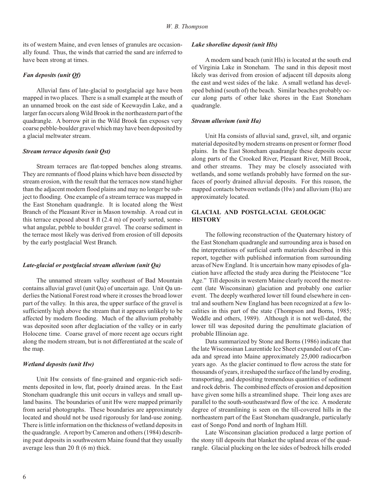its of western Maine, and even lenses of granules are occasionally found. Thus, the winds that carried the sand are inferred to have been strong at times.

## *Fan de pos its (unit Qf)*

Alluvial fans of late-glacial to postglacial age have been mapped in two places. There is a small example at the mouth of an unnamed brook on the east side of Keewaydin Lake, and a larger fan occurs along Wild Brook in the northeastern part of the quadrangle. A borrow pit in the Wild Brook fan exposes very coarse pebble-boulder gravel which may have been deposited by a glacial meltwater stream.

## *Stream ter race de pos its (unit Qst)*

Stream terraces are flat-topped benches along streams. They are remnants of flood plains which have been dissected by stream erosion, with the result that the terraces now stand higher than the adjacent modern flood plains and may no longer be subject to flooding. One example of a stream terrace was mapped in the East Stoneham quadrangle. It is located along the West Branch of the Pleasant River in Mason township. A road cut in this terrace exposed about 8 ft  $(2.4 \text{ m})$  of poorly sorted, somewhat angular, pebble to boulder gravel. The coarse sediment in the terrace most likely was derived from erosion of till deposits by the early postglacial West Branch.

#### Late-glacial or postglacial stream alluvium (unit Qa)

The unnamed stream valley southeast of Bad Mountain contains alluvial gravel (unit Qa) of uncertain age. Unit Qa underlies the National Forest road where it crosses the broad lower part of the valley. In this area, the upper surface of the gravel is sufficiently high above the stream that it appears unlikely to be affected by modern flooding. Much of the alluvium probably was deposited soon after deglaciation of the valley or in early Holocene time. Coarse gravel of more recent age occurs right along the modern stream, but is not differentiated at the scale of the map.

#### *Wet land de pos its (unit Hw)*

Unit Hw consists of fine-grained and organic-rich sediments deposited in low, flat, poorly drained areas. In the East Stoneham quadrangle this unit occurs in valleys and small upland basins. The boundaries of unit Hw were mapped primarily from aerial photographs. These boundaries are approximately located and should not be used rigorously for land-use zoning. There is little information on the thickness of wetland deposits in the quadrangle. A report by Cameron and others (1984) describing peat deposits in southwestern Maine found that they usually average less than 20 ft  $(6 \text{ m})$  thick.

#### *Lake shore line de posit (unit Hls)*

A modern sand beach (unit Hls) is located at the south end of Virginia Lake in Stoneham. The sand in this deposit most likely was derived from erosion of adjacent till deposits along the east and west sides of the lake. A small wetland has developed behind (south of) the beach. Similar beaches probably occur along parts of other lake shores in the East Stoneham quadrangle.

#### *Stream alluvium (unit Ha)*

Unit Ha consists of alluvial sand, gravel, silt, and organic material deposited by modern streams on present or former flood plains. In the East Stoneham quadrangle these deposits occur along parts of the Crooked River, Pleasant River, Mill Brook, and other streams. They may be closely associated with wetlands, and some wetlands probably have formed on the surfaces of poorly drained alluvial deposits. For this reason, the mapped contacts between wetlands (Hw) and alluvium (Ha) are approximately located.

## **GLACIAL AND POSTGLACIAL GEOLOGIC HIS TORY**

The following reconstruction of the Quaternary history of the East Stoneham quadrangle and surrounding area is based on the interpretations of surficial earth materials described in this report, together with published information from surrounding areas of New England. It is uncertain how many episodes of glaciation have affected the study area during the Pleistocene "Ice" Age." Till deposits in western Maine clearly record the most recent (late Wisconsinan) glaciation and probably one earlier event. The deeply weathered lower till found elsewhere in central and southern New England has been recognized at a few localities in this part of the state (Thompson and Borns, 1985; Weddle and others, 1989). Although it is not well-dated, the lower till was deposited during the penultimate glaciation of probable Illinoian age.

Data summarized by Stone and Borns (1986) indicate that the late Wisconsinan Laurentide Ice Sheet expanded out of Canada and spread into Maine approximately 25,000 radiocarbon years ago. As the glacier continued to flow across the state for thousands of years, it reshaped the surface of the land by eroding, transporting, and depositing tremendous quantities of sediment and rock debris. The combined effects of erosion and deposition have given some hills a streamlined shape. Their long axes are parallel to the south-southeastward flow of the ice. A moderate degree of streamlining is seen on the till-covered hills in the northeastern part of the East Stoneham quadrangle, particularly east of Songo Pond and north of Ingham Hill.

Late Wisconsinan glaciation produced a large portion of the stony till deposits that blanket the upland areas of the quadrangle. Glacial plucking on the lee sides of bedrock hills eroded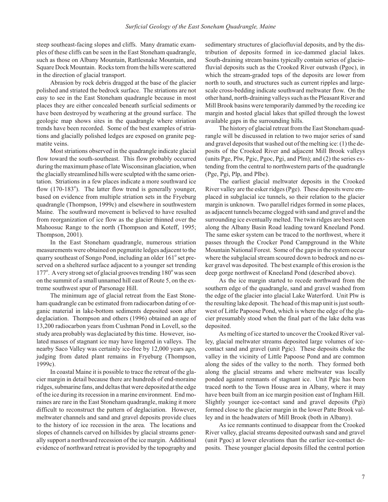steep southeast-facing slopes and cliffs. Many dramatic examples of these cliffs can be seen in the East Stone ham quadrangle, such as those on Albany Mountain, Rattlesnake Mountain, and Square Dock Mountain. Rocks torn from the hills were scattered in the direction of glacial transport.

Abrasion by rock debris dragged at the base of the glacier polished and striated the bedrock surface. The striations are not easy to see in the East Stoneham quadrangle because in most places they are either concealed beneath surficial sediments or have been destroyed by weathering at the ground surface. The geologic map shows sites in the quadrangle where striation trends have been recorded. Some of the best examples of striations and glacially polished ledges are exposed on granite pegmatite veins.

Most striations observed in the quadrangle indicate glacial flow toward the south-southeast. This flow probably occurred during the maximum phase of late Wisconsinan glaciation, when the glacially streamlined hills were sculpted with the same orientation. Striations in a few places indicate a more southward ice flow (170-183°). The latter flow trend is generally younger, based on evidence from multiple striation sets in the Fryeburg quadrangle (Thompson, 1999c) and elsewhere in southwestern Maine. The southward movement is believed to have resulted from reorganization of ice flow as the glacier thinned over the Mahoosuc Range to the north (Thompson and Koteff, 1995; Thompson, 2001).

In the East Stoneham quadrangle, numerous striation measurements were obtained on pegmatite ledges adjacent to the quarry southeast of Songo Pond, including an older 161° set preserved on a sheltered surface adjacent to a younger set trending 177°. A very strong set of glacial grooves trending 180° was seen on the summit of a small unnamed hill east of Route 5, on the extreme southwest spur of Parsonage Hill.

The minimum age of glacial retreat from the East Stoneham quadrangle can be estimated from radiocarbon dating of organic material in lake-bottom sediments deposited soon after deglaciation. Thompson and others (1996) obtained an age of 13,200 radiocarbon years from Cushman Pond in Lovell, so the study area probably was deglaciated by this time. However, isolated masses of stagnant ice may have lingered in valleys. The nearby Saco Valley was certainly ice-free by 12,000 years ago, judging from dated plant remains in Fryeburg (Thompson, 1999c).

In coastal Maine it is possible to trace the retreat of the glacier margin in detail because there are hundreds of end-moraine ridges, submarine fans, and deltas that were deposited at the edge of the ice during its recession in a marine environment. End moraines are rare in the East Stoneham quadrangle, making it more difficult to reconstruct the pattern of deglaciation. However, meltwater channels and sand and gravel deposits provide clues to the history of ice recession in the area. The locations and slopes of channels carved on hillsides by glacial streams generally support a northward recession of the ice margin. Additional evidence of northward retreat is provided by the topography and sedimentary structures of glaciofluvial deposits, and by the distribution of deposits formed in ice-dammed glacial lakes. South-draining stream basins typically contain series of glaciofluvial deposits such as the Crooked River outwash (Pgoc), in which the stream-graded tops of the deposits are lower from north to south, and structures such as current ripples and largescale cross-bedding indicate southward meltwater flow. On the other hand, north-draining valleys such as the Pleasant River and Mill Brook basins were temporarily dammed by the receding ice margin and hosted glacial lakes that spilled through the lowest available gaps in the surrounding hills.

The history of glacial retreat from the East Stone ham quadrangle will be discussed in relation to two major series of sand and gravel deposits that washed out of the melting ice: (1) the deposits of the Crooked River and adjacent Mill Brook valleys (units Pge, Plw, Pgic, Pgoc, Pgi, and Plm); and  $(2)$  the series extending from the central to northwestern parts of the quadrangle (Pge, Pgi, Plp, and Plbe).

The earliest glacial meltwater deposits in the Crooked River valley are the esker ridges (Pge). These deposits were emplaced in subglacial ice tunnels, so their relation to the glacier margin is unknown. Two parallel ridges formed in some places, as adjacent tunnels became clogged with sand and gravel and the surrounding ice eventually melted. The twin ridges are best seen along the Albany Basin Road leading toward Kneeland Pond. The same esker system can be traced to the northwest, where it passes through the Crocker Pond Campground in the White Mountain National Forest. Some of the gaps in the system occur where the subglacial stream scoured down to bedrock and no esker gravel was deposited. The best example of this erosion is the deep gorge northwest of Kneeland Pond (described above).

As the ice margin started to recede northward from the southern edge of the quadrangle, sand and gravel washed from the edge of the glacier into glacial Lake Waterford. Unit Plw is the resulting lake deposit. The head of this map unit is just southwest of Little Papoose Pond, which is where the edge of the glacier presumably stood when the final part of the lake delta was deposited.

As melting of ice started to uncover the Crooked River valley, glacial meltwater streams deposited large volumes of icecontact sand and gravel (unit Pgic). These deposits choke the valley in the vicinity of Little Papoose Pond and are common along the sides of the valley to the north. They formed both along the glacial streams and where meltwater was locally ponded against remnants of stagnant ice. Unit Pgic has been traced north to the Town House area in Albany, where it may have been built from an ice margin position east of Ingham Hill. Slightly younger ice-contact sand and gravel deposits (Pgi) formed close to the glacier margin in the lower Patte Brook valley and in the headwaters of Mill Brook (both in Albany).

As ice remnants continued to disappear from the Crooked River valley, glacial streams deposited outwash sand and gravel (unit Pgoc) at lower elevations than the earlier ice-contact deposits. These younger glacial deposits filled the central portion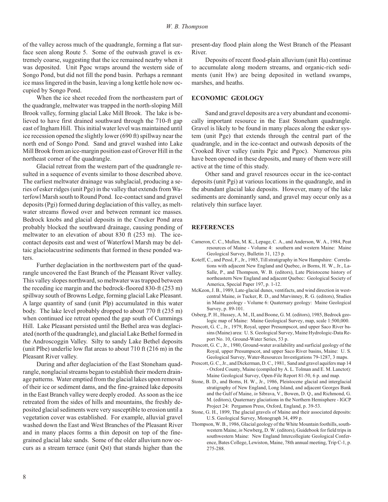of the valley across much of the quadrangle, forming a flat surface seen along Route 5. Some of the outwash gravel is extremely coarse, suggesting that the ice remained nearby when it was deposited. Unit Pgoc wraps around the western side of Songo Pond, but did not fill the pond basin. Perhaps a remnant ice mass lingered in the basin, leaving a long kettle hole now occupied by Songo Pond.

When the ice sheet receded from the northeastern part of the quadrangle, meltwater was trapped in the north-sloping Mill Brook valley, forming glacial Lake Mill Brook. The lake is believed to have first drained southward through the 710-ft gap east of Ingham Hill. This initial water level was maintained until ice recession opened the slightly lower (690 ft) spillway near the north end of Songo Pond. Sand and gravel washed into Lake Mill Brook from an ice-margin position east of Grover Hill in the northeast corner of the quadrangle.

Glacial retreat from the western part of the quadrangle resulted in a sequence of events similar to those described above. The earliest meltwater drainage was subglacial, producing a series of esker ridges (unit Pge) in the valley that ex tends from Wa terfowl Marsh south to Round Pond. Ice-contact sand and gravel  $de$  deposits (Pgi) formed during deglaciation of this valley, as meltwater streams flowed over and between remnant ice masses. Bedrock knobs and glacial deposits in the Crocker Pond area probably blocked the southward drainage, causing ponding of meltwater to an elevation of about 830 ft  $(253 \text{ m})$ . The icecontact deposits east and west of Waterfowl Marsh may be deltaic glaciolacustrine sediments that formed in these ponded waters.

Further deglaciation in the northwestern part of the quadrangle uncovered the East Branch of the Pleasant River valley. This valley slopes northward, so meltwater was trapped between the receding ice margin and the bedrock-floored 830-ft (253 m) spillway south of Browns Ledge, forming glacial Lake Pleasant. A large quantity of sand (unit Plp) accumulated in this water body. The lake level probably dropped to about 770 ft (235 m) when continued ice retreat opened the gap south of Cummings Hill. Lake Pleasant persisted until the Bethel area was deglaciated (north of the quadrangle), and glacial Lake Bethel formed in the Androscoggin Valley. Silty to sandy Lake Bethel deposits (unit Plbe) under lie low flat areas to about  $710$  ft  $(216 \text{ m})$  in the Pleasant River valley.

During and after deglaciation of the East Stoneham quadrangle, nonglacial streams began to establish their modern drainage patterns. Water emptied from the glacial lakes upon removal of their ice or sediment dams, and the fine-grained lake deposits in the East Branch valley were deeply eroded. As soon as the ice retreated from the sides of hills and mountains, the freshly deposited glacial sediments were very susceptible to erosion until a vegetation cover was established. For example, alluvial gravel washed down the East and West Branches of the Pleasant River and in many places forms a thin deposit on top of the finegrained glacial lake sands. Some of the older alluvium now occurs as a stream terrace (unit Qst) that stands higher than the present- day flood plain along the West Branch of the Pleasant River.

Deposits of recent flood-plain alluvium (unit Ha) continue to accumulate along modern streams, and organic-rich sediments (unit Hw) are being deposited in wetland swamps, marshes, and heaths.

### **ECONOMIC GEOLOGY**

Sand and gravel deposits are a very abundant and economically important resource in the East Stoneham quadrangle. Gravel is likely to be found in many places along the esker system (unit Pge) that extends through the central part of the quadrangle, and in the ice-contact and outwash deposits of the Crooked River valley (units Pgic and Pgoc). Numerous pits have been opened in these deposits, and many of them were still active at the time of this study.

Other sand and gravel resources occur in the ice-contact deposits (unit Pgi) at various locations in the quadrangle, and in the abundant glacial lake deposits. However, many of the lake sediments are dominantly sand, and gravel may occur only as a relatively thin surface layer.

#### **REFERENCES**

- Cameron, C. C., Mullen, M. K., Lepage, C. A., and Anderson, W. A., 1984, Peat resources of Maine - Volume 4: southern and western Maine: Maine Geological Survey, Bulletin 31, 123 p.
- Koteff, C., and Pessl, F., Jr., 1985, Till stratigraphy in New Hampshire: Correlations with adjacent New England and Quebec, *in* Borns, H. W., Jr., La-Salle, P., and Thompson, W. B. (editors), Late Pleistocene history of northeastern New England and adjacent Quebec: Geological Society of America, Special Paper 197, p. 1-12.
- McKeon, J. B., 1989, Late-glacial dunes, ventifacts, and wind direction in westcentral Maine, *in* Tucker, R. D., and Marvinney, R. G. (editors), Studies in Maine geology - Volume 6: Quaternary geology: Maine Geological Survey, p. 89-101.
- Osberg, P. H., Hussey, A. M., II, and Boone, G. M. (editors), 1985, Bedrock geologic map of Maine: Maine Geological Survey, map, scale 1:500,000.
- Prescott, G. C., Jr., 1979, Royal, upper Presumpscot, and upper Saco River basins (Maine) area: U. S. Geological Survey, Maine Hydrologic-Data Report No. 10, Ground-Water Series, 53 p.
- Prescott, G. C., Jr., 1980, Ground-water availability and surficial geology of the Royal, upper Presumpscot, and upper Saco River basins, Maine: U.S. Geological Survey, Water-Resources Investigations 79-1287, 3 maps.
- Prescott, G. C., Jr., and Dickerman, D. C., 1981, Sand and gravel aquifers map 14 - Ox ford County, Maine (compiled by A. L. Tolman and E. M. Lanctot): Maine Geological Survey, Open-File Report 81-50, 6 p. and map.
- Stone, B. D., and Borns, H. W., Jr., 1986, Pleistocene glacial and interglacial stratigraphy of New England, Long Island, and adjacent Georges Bank and the Gulf of Maine, in Sibrava, V., Bowen, D. Q., and Richmond, G. M. (editors), Quaternary glaciations in the Northern Hemisphere - IGCP Project 24: Pergamon Press, Oxford, England, p. 39-53.
- Stone, G. H., 1899, The glacial gravels of Maine and their associated deposits: U.S. Geological Survey, Monograph 34, 499 p.
- Thompson, W. B., 1986, Glacial geology of the White Mountain foothills, southwestern Maine, in Newberg, D. W. (editors), Guidebook for field trips in southwestern Maine: New England Intercollegiate Geological Conference, Bates College, Lewiston, Maine, 78th annual meeting, Trip C-1, p. 275- 288.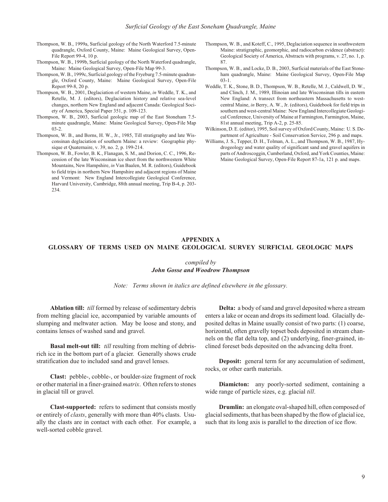- Thompson, W. B., 1999a, Surficial geology of the North Waterford 7.5-minute quadrangle, Oxford County, Maine: Maine Geological Survey, Open-File Report 99-4, 10 p.
- Thompson, W. B., 1999b, Surficial geology of the North Waterford quadrangle, Maine: Maine Geological Survey, Open-File Map 99-3.
- Thompson, W. B., 1999c, Surficial geology of the Fryeburg 7.5-minute quadrangle, Oxford County, Maine: Maine Geological Survey, Open-File Report 99-8, 20 p.
- Thompson, W. B., 2001, Deglaciation of western Maine, *in* Weddle, T. K., and Retelle, M. J. (editors), Deglaciation history and relative sea-level changes, northern New England and adjacent Canada: Geological Society of America, Special Paper 351, p. 109-123.
- Thompson, W. B., 2003, Surficial geologic map of the East Stoneham 7.5minute quadrangle, Maine: Maine Geological Survey, Open-File Map 03-2.
- Thompson, W. B., and Borns, H. W., Jr., 1985, Till stratigraphy and late Wisconsinan deglaciation of southern Maine: a review: Geographie physique et Quaternaire, v. 39, no. 2, p. 199-214.
- Thompson, W. B., Fowler, B. K., Flanagan, S. M., and Dorion, C. C., 1996, Recession of the late Wisconsinan ice sheet from the northwestern White Mountains, New Hampshire, *in* Van Baalen, M. R. (editors), Guidebook to field trips in northern New Hampshire and adjacent regions of Maine and Vermont: New England Intercollegiate Geological Conference, Harvard University, Cambridge, 88th annual meeting, Trip B-4, p. 203-234.
- Thompson, W. B., and Koteff, C., 1995, Deglaciation sequence in southwestern Maine: stratigraphic, geomorphic, and radiocarbon evidence (abstract): Geological Society of America, Abstracts with programs, v. 27, no. 1, p. 87.
- Thompson, W. B., and Locke, D. B., 2003, Surficial materials of the East Stoneham quadrangle, Maine: Maine Geological Survey, Open-File Map 03-1.
- Weddle, T. K., Stone, B. D., Thompson, W. B., Retelle, M. J., Caldwell, D. W., and Clinch, J. M., 1989, Illinoian and late Wisconsinan tills in eastern New England: A transect from northeastern Massachusetts to westcentral Maine, in Berry, A. W., Jr. (editors), Guidebook for field trips in southern and west-central Maine: New England Intercollegiate Geological Conference, University of Maine at Farmington, Farmington, Maine, 81st annual meeting, Trip A-2, p. 25-85.
- Wilkinson, D. E. (editor), 1995, Soil survey of Oxford County, Maine: U. S. Department of Agriculture - Soil Conservation Service, 296 p. and maps.
- Williams, J. S., Tepper, D. H., Tolman, A. L., and Thompson, W. B., 1987, Hydrogeology and water quality of significant sand and gravel aquifers in parts of Androscoggin, Cumberland, Oxford, and York Counties, Maine: Maine Geological Survey, Open-File Report 87-1a, 121 p. and maps.

## **APPENDIX A GLOSSARY OF TERMS USED ON MAINE GEOLOGICAL SURVEY SURFICIAL GEOLOGIC MAPS**

### *com piled by John Gosse and Woodrow Thompson*

Note: Terms shown in italics are defined elsewhere in the glossary.

Ablation till: *till* formed by release of sedimentary debris from melting glacial ice, accompanied by variable amounts of slumping and meltwater action. May be loose and stony, and contains lenses of washed sand and gravel.

**Basal melt-out till:** *till* resulting from melting of debrisrich ice in the bottom part of a glacier. Generally shows crude stratification due to included sand and gravel lenses.

**Clast:** pebble-, cobble-, or boulder-size fragment of rock or other material in a finer-grained *matrix*. Often refers to stones in glacial till or gravel.

**Clast-supported:** refers to sediment that consists mostly or entirely of *clasts*, generally with more than 40% clasts. Usually the clasts are in contact with each other. For example, a well-sorted cobble gravel.

**Delta:** a body of sand and gravel deposited where a stream enters a lake or ocean and drops its sediment load. Glacially deposited deltas in Maine usually consist of two parts: (1) coarse, horizontal, often gravelly topset beds deposited in stream channels on the flat delta top, and (2) underlying, finer-grained, inclined foreset beds deposited on the advancing delta front.

**Deposit:** general term for any accumulation of sediment, rocks, or other earth materials.

**Diamicton:** any poorly-sorted sediment, containing a wide range of particle sizes, e.g. glacial *till*.

**Drumlin:** an elongate oval-shaped hill, often composed of glacial sediments, that has been shaped by the flow of glacial ice, such that its long axis is parallel to the direction of ice flow.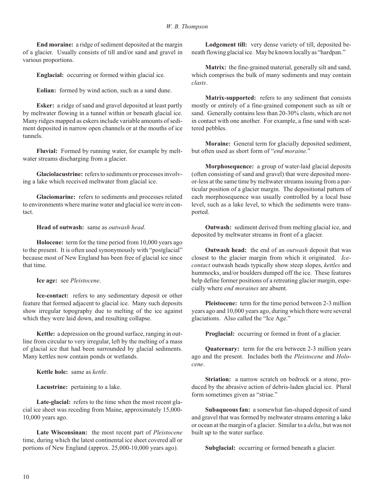**End moraine:** a ridge of sediment deposited at the margin of a glacier. Usually consists of till and/or sand and gravel in various proportions.

**Englacial:** occurring or formed within glacial ice.

**Eolian:** formed by wind action, such as a sand dune.

**Esker:** a ridge of sand and gravel deposited at least partly by meltwater flowing in a tunnel within or beneath glacial ice. Many ridges mapped as eskers include variable amounts of sediment deposited in narrow open channels or at the mouths of ice tunnels.

**Fluvial:** Formed by running water, for example by meltwater streams discharging from a glacier.

**Glaciolacustrine:** refers to sediments or processes involving a lake which received meltwater from glacial ice.

**Glaciomarine:** refers to sediments and processes related to environments where marine water and glacial ice were in contact.

Head of outwash: same as *outwash head*.

**Holocene:** term for the time period from 10,000 years ago to the present. It is often used synony mously with "postglacial" because most of New England has been free of glacial ice since that time.

**Ice age:** see *Pleistocene*.

**Ice-contact:** refers to any sedimentary deposit or other feature that formed adjacent to glacial ice. Many such deposits show irregular topography due to melting of the ice against which they were laid down, and resulting collapse.

**Kettle:** a depression on the ground surface, ranging in outline from circular to very irregular, left by the melting of a mass of glacial ice that had been surrounded by glacial sediments. Many kettles now contain ponds or wetlands.

**Kettle hole:** same as *kettle*.

**Lacustrine:** pertaining to a lake.

**Late-glacial:** refers to the time when the most recent glacial ice sheet was receding from Maine, approximately 15,000-10,000 years ago.

Late Wisconsinan: the most recent part of *Pleistocene* time, during which the latest continental ice sheet covered all or portions of New England (approx.  $25,000-10,000$  years ago).

**Lodgement till:** very dense variety of till, deposited beneath flowing glacial ice. May be known locally as "hardpan."

**Matrix:** the fine-grained material, generally silt and sand, which comprises the bulk of many sediments and may contain *clasts*.

Matrix-supported: refers to any sediment that consists mostly or entirely of a fine-grained component such as silt or sand. Generally contains less than 20-30% clasts, which are not in contact with one another. For example, a fine sand with scattered pebbles.

**Moraine:** General term for glacially deposited sediment, but often used as short form of "*end moraine*."

**Morphosequence:** a group of water-laid glacial deposits (often consisting of sand and gravel) that were deposited moreor-less at the same time by meltwater streams issuing from a particular position of a glacier margin. The depositional pattern of each morphosequence was usually controlled by a local base level, such as a lake level, to which the sediments were transported.

**Outwash:** sediment derived from melting glacial ice, and deposited by meltwater streams in front of a glacier.

**Outwash head:** the end of an *outwash* deposit that was closest to the glacier margin from which it originated. *Icecontact* outwash heads typically show steep slopes, *kettles* and hummocks, and/or boulders dumped off the ice. These features help define former positions of a retreating glacier margin, especially where *end moraines* are absent.

**Pleistocene:** term for the time period between 2-3 million years ago and 10,000 years ago, during which there were several glaciations. Also called the "Ice Age."

**Proglacial:** occurring or formed in front of a glacier.

Quaternary: term for the era between 2-3 million years ago and the present. Includes both the *Pleistocene* and *Holocene*.

**Striation:** a narrow scratch on bedrock or a stone, produced by the abrasive action of debris-laden glacial ice. Plural form sometimes given as "striae."

**Subaqueous fan:** a somewhat fan-shaped deposit of sand and gravel that was formed by meltwater streams entering a lake or ocean at the margin of a glacier. Similar to a *delta*, but was not built up to the water surface.

**Subglacial:** occurring or formed beneath a glacier.